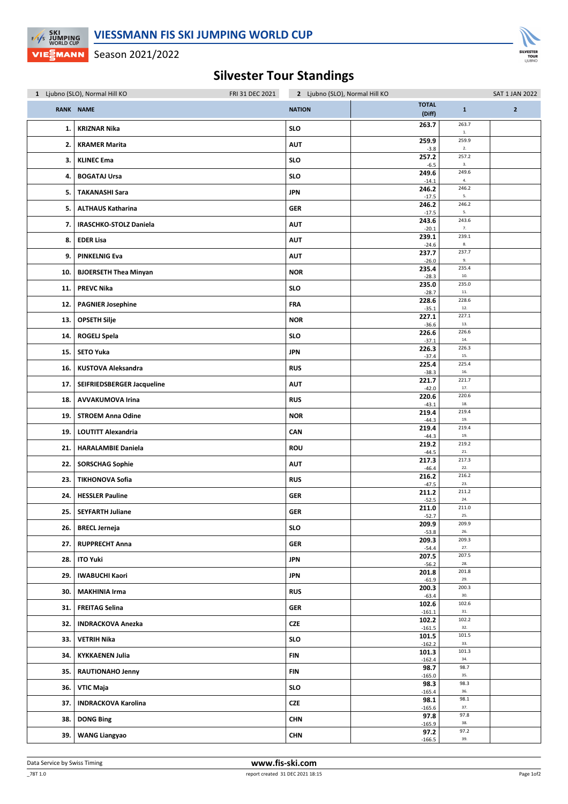

Season 2021/2022

## Silvester Tour Standings

| FRI 31 DEC 2021<br>1 Ljubno (SLO), Normal Hill KO |                               | 2 Ljubno (SLO), Normal Hill KO |                        |               | <b>SAT 1 JAN 2022</b> |
|---------------------------------------------------|-------------------------------|--------------------------------|------------------------|---------------|-----------------------|
|                                                   | RANK NAME                     | <b>NATION</b>                  | <b>TOTAL</b><br>(Diff) | $\mathbf{1}$  | $\overline{2}$        |
| 1.                                                | <b>KRIZNAR Nika</b>           | <b>SLO</b>                     | 263.7                  | 263.7<br>$1.$ |                       |
| 2.                                                | <b>KRAMER Marita</b>          | <b>AUT</b>                     | 259.9<br>$-3.8$        | 259.9<br>2.   |                       |
| 3.                                                | <b>KLINEC Ema</b>             | <b>SLO</b>                     | 257.2<br>$-6.5$        | 257.2<br>3.   |                       |
| 4.                                                | <b>BOGATAJ Ursa</b>           | <b>SLO</b>                     | 249.6<br>$-14.1$       | 249.6<br>4.   |                       |
| 5.                                                | <b>TAKANASHI Sara</b>         | <b>JPN</b>                     | 246.2<br>$-17.5$       | 246.2<br>5.   |                       |
| 5.                                                | <b>ALTHAUS Katharina</b>      | GER                            | 246.2<br>$-17.5$       | 246.2<br>5.   |                       |
| 7.                                                | <b>IRASCHKO-STOLZ Daniela</b> | <b>AUT</b>                     | 243.6<br>$-20.1$       | 243.6<br>7.   |                       |
| 8.                                                | <b>EDER Lisa</b>              | <b>AUT</b>                     | 239.1<br>$-24.6$       | 239.1<br>8.   |                       |
| 9.                                                | <b>PINKELNIG Eva</b>          | <b>AUT</b>                     | 237.7<br>$-26.0$       | 237.7<br>9.   |                       |
| 10.                                               | <b>BJOERSETH Thea Minyan</b>  | <b>NOR</b>                     | 235.4<br>$-28.3$       | 235.4<br>10.  |                       |
| 11.                                               | <b>PREVC Nika</b>             | <b>SLO</b>                     | 235.0<br>$-28.7$       | 235.0<br>11.  |                       |
| 12.                                               | <b>PAGNIER Josephine</b>      | FRA                            | 228.6<br>$-35.1$       | 228.6<br>12.  |                       |
| 13.                                               | <b>OPSETH Silje</b>           | <b>NOR</b>                     | 227.1<br>$-36.6$       | 227.1<br>13.  |                       |
| 14.                                               | <b>ROGELJ Spela</b>           | <b>SLO</b>                     | 226.6<br>$-37.1$       | 226.6<br>14.  |                       |
| 15.                                               | <b>SETO Yuka</b>              | <b>JPN</b>                     | 226.3<br>$-37.4$       | 226.3<br>15.  |                       |
| 16.                                               | <b>KUSTOVA Aleksandra</b>     | <b>RUS</b>                     | 225.4<br>$-38.3$       | 225.4<br>16.  |                       |
| 17.                                               | SEIFRIEDSBERGER Jacqueline    | <b>AUT</b>                     | 221.7<br>$-42.0$       | 221.7<br>17.  |                       |
| 18.                                               | <b>AVVAKUMOVA Irina</b>       | <b>RUS</b>                     | 220.6<br>$-43.1$       | 220.6<br>18.  |                       |
| 19.                                               | <b>STROEM Anna Odine</b>      | <b>NOR</b>                     | 219.4<br>$-44.3$       | 219.4<br>19.  |                       |
| 19.                                               | <b>LOUTITT Alexandria</b>     | CAN                            | 219.4<br>$-44.3$       | 219.4<br>19.  |                       |
| 21.                                               | <b>HARALAMBIE Daniela</b>     | <b>ROU</b>                     | 219.2<br>$-44.5$       | 219.2<br>21.  |                       |
| 22.                                               | <b>SORSCHAG Sophie</b>        | <b>AUT</b>                     | 217.3<br>$-46.4$       | 217.3<br>22.  |                       |
| 23.                                               | <b>TIKHONOVA Sofia</b>        | <b>RUS</b>                     | 216.2<br>$-47.5$       | 216.2<br>23.  |                       |
| 24.                                               | <b>HESSLER Pauline</b>        | GER                            | 211.2<br>$-52.5$       | 211.2<br>24.  |                       |
| 25.                                               | <b>SEYFARTH Juliane</b>       | <b>GER</b>                     | 211.0<br>$-52.7$       | 211.0<br>25.  |                       |
| 26.                                               | <b>BRECL Jerneja</b>          | <b>SLO</b>                     | 209.9<br>$-53.8$       | 209.9<br>26.  |                       |
| 27.                                               | <b>RUPPRECHT Anna</b>         | GER                            | 209.3<br>$-54.4$       | 209.3<br>27.  |                       |
| 28.                                               | <b>ITO Yuki</b>               | JPN                            | 207.5<br>$-56.2$       | 207.5<br>28.  |                       |
| 29.                                               | <b>IWABUCHI Kaori</b>         | <b>JPN</b>                     | 201.8<br>$-61.9$       | 201.8<br>29.  |                       |
| 30.                                               | <b>MAKHINIA Irma</b>          | <b>RUS</b>                     | 200.3<br>$-63.4$       | 200.3<br>30.  |                       |
| 31.                                               | <b>FREITAG Selina</b>         | GER                            | 102.6<br>$-161.1$      | 102.6<br>31.  |                       |
| 32.                                               | <b>INDRACKOVA Anezka</b>      | CZE                            | 102.2<br>$-161.5$      | 102.2<br>32.  |                       |
| 33.                                               | <b>VETRIH Nika</b>            | SLO                            | 101.5<br>$-162.2$      | 101.5<br>33.  |                       |
| 34.                                               | <b>KYKKAENEN Julia</b>        | <b>FIN</b>                     | 101.3<br>$-162.4$      | 101.3<br>34.  |                       |
| 35.                                               | <b>RAUTIONAHO Jenny</b>       | FIN                            | 98.7<br>$-165.0$       | 98.7<br>35.   |                       |
| 36.                                               | VTIC Maja                     | <b>SLO</b>                     | 98.3<br>$-165.4$       | 98.3<br>36.   |                       |
| 37.                                               | <b>INDRACKOVA Karolina</b>    | CZE                            | 98.1<br>$-165.6$       | 98.1<br>37.   |                       |
| 38.                                               | <b>DONG Bing</b>              | <b>CHN</b>                     | 97.8<br>$-165.9$       | 97.8<br>38.   |                       |
| 39.                                               | <b>WANG Liangyao</b>          | <b>CHN</b>                     | 97.2<br>$-166.5$       | 97.2<br>39.   |                       |